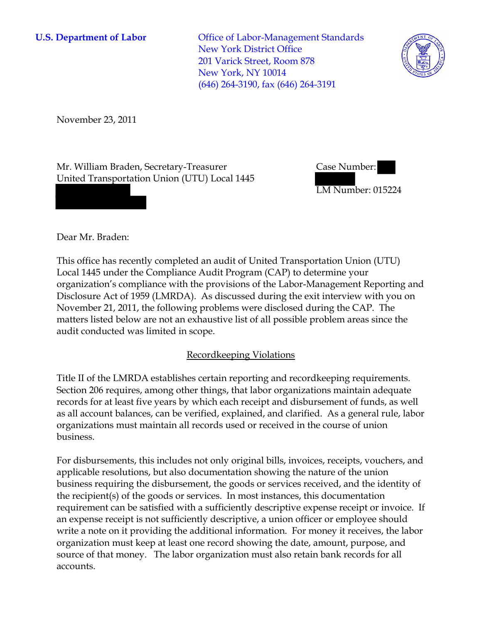**U.S. Department of Labor Conservative Conservative Conservative Conservative Conservative Conservative Conservative Conservative Conservative Conservative Conservative Conservative Conservative Conservative Conservative** New York District Office 201 Varick Street, Room 878 New York, NY 10014 (646) 264-3190, fax (646) 264-3191



November 23, 2011

Mr. William Braden, Secretary-Treasurer United Transportation Union (UTU) Local 1445



LM Number: 015224

Dear Mr. Braden:

This office has recently completed an audit of United Transportation Union (UTU) Local 1445 under the Compliance Audit Program (CAP) to determine your organization's compliance with the provisions of the Labor-Management Reporting and Disclosure Act of 1959 (LMRDA). As discussed during the exit interview with you on November 21, 2011, the following problems were disclosed during the CAP. The matters listed below are not an exhaustive list of all possible problem areas since the audit conducted was limited in scope.

## Recordkeeping Violations

Title II of the LMRDA establishes certain reporting and recordkeeping requirements. Section 206 requires, among other things, that labor organizations maintain adequate records for at least five years by which each receipt and disbursement of funds, as well as all account balances, can be verified, explained, and clarified. As a general rule, labor organizations must maintain all records used or received in the course of union business.

For disbursements, this includes not only original bills, invoices, receipts, vouchers, and applicable resolutions, but also documentation showing the nature of the union business requiring the disbursement, the goods or services received, and the identity of the recipient(s) of the goods or services. In most instances, this documentation requirement can be satisfied with a sufficiently descriptive expense receipt or invoice. If an expense receipt is not sufficiently descriptive, a union officer or employee should write a note on it providing the additional information. For money it receives, the labor organization must keep at least one record showing the date, amount, purpose, and source of that money. The labor organization must also retain bank records for all accounts.